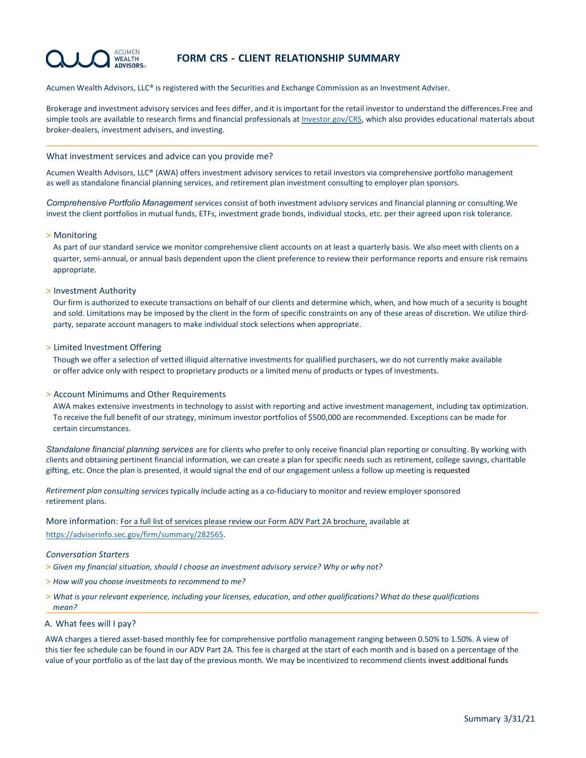#### **ACLIMEN WEALTH ADVISORS**

# **FORM CRS - CLIENT RELATIONSHIP SUMMARY**

Acumen Wealth Advisors, LLC® is registered with the Securities and Exchange Commission as an Investment Adviser.

Brokerage and investment advisory services and fees differ, and it is important for the retail investor to understand the differences.Free and simple tools are available to research firms and financial professionals a[t Investor.gov/CRS,](https://www.investor.gov/home/welcome-investor-gov-crs) which also provides educational materials about broker-dealers, investment advisers, and investing.

### What investment services and advice can you provide me?

Acumen Wealth Advisors, LLC® (AWA) offers investment advisory services to retail investors via comprehensive portfolio management as well as standalone financial planning services, and retirement plan investment consulting to employer plan sponsors.

*Comprehensive Portfolio Management* services consist of both investment advisory services and financial planning or consulting.We invest the client portfolios in mutual funds, ETFs, investment grade bonds, individual stocks, etc. per their agreed upon risk tolerance.

## > Monitoring

As part of our standard service we monitor comprehensive client accounts on at least a quarterly basis. We also meet with clients on a quarter, semi-annual, or annual basis dependent upon the client preference to review their performance reports and ensure risk remains appropriate.

## > Investment Authority

Our firm is authorized to execute transactions on behalf of our clients and determine which, when, and how much of a security is bought and sold. Limitations may be imposed by the client in the form of specific constraints on any of these areas of discretion. We utilize thirdparty, separate account managers to make individual stock selections when appropriate.

## > Limited Investment Offering

Though we offer a selection of vetted illiquid alternative investments for qualified purchasers, we do not currently make available or offer advice only with respect to proprietary products or a limited menu of products or types of investments.

## > Account Minimums and Other Requirements

AWA makes extensive investments in technology to assist with reporting and active investment management, including tax optimization. To receive the full benefit of our strategy, minimum investor portfolios of \$500,000 are recommended. Exceptions can be made for certain circumstances.

*Standalone financial planning services* are for clients who prefer to only receive financial plan reporting or consulting. By working with clients and obtaining pertinent financial information, we can create a plan for specific needs such as retirement, college savings, charitable gifting, etc. Once the plan is presented, it would signal the end of our engagement unless a follow up meeting is requested

*Retirement plan consulting services* typically include acting as a co-fiduciary to monitor and review employer sponsored retirement plans.

More information: For a full list of services please review our Form ADV Part 2A brochure, available at https://adviserinfo.sec.gov/firm/summary/282565.

### *Conversation Starters*

- > *Given my financial situation, should I choose an investment advisory service? Why or why not?*
- > *How will you choose investments to recommend to me?*
- > What is your relevant experience, including your licenses, education, and other qualifications? What do these qualifications *mean?*
- A. What fees will I pay?

AWA charges a tiered asset-based monthly fee for comprehensive portfolio management ranging between 0.50% to 1.50%. A view of this tier fee schedule can be found in our ADV Part 2A. This fee is charged at the start of each month and is based on a percentage of the value of your portfolio as of the last day of the previous month. We may be incentivized to recommend clients invest additional funds